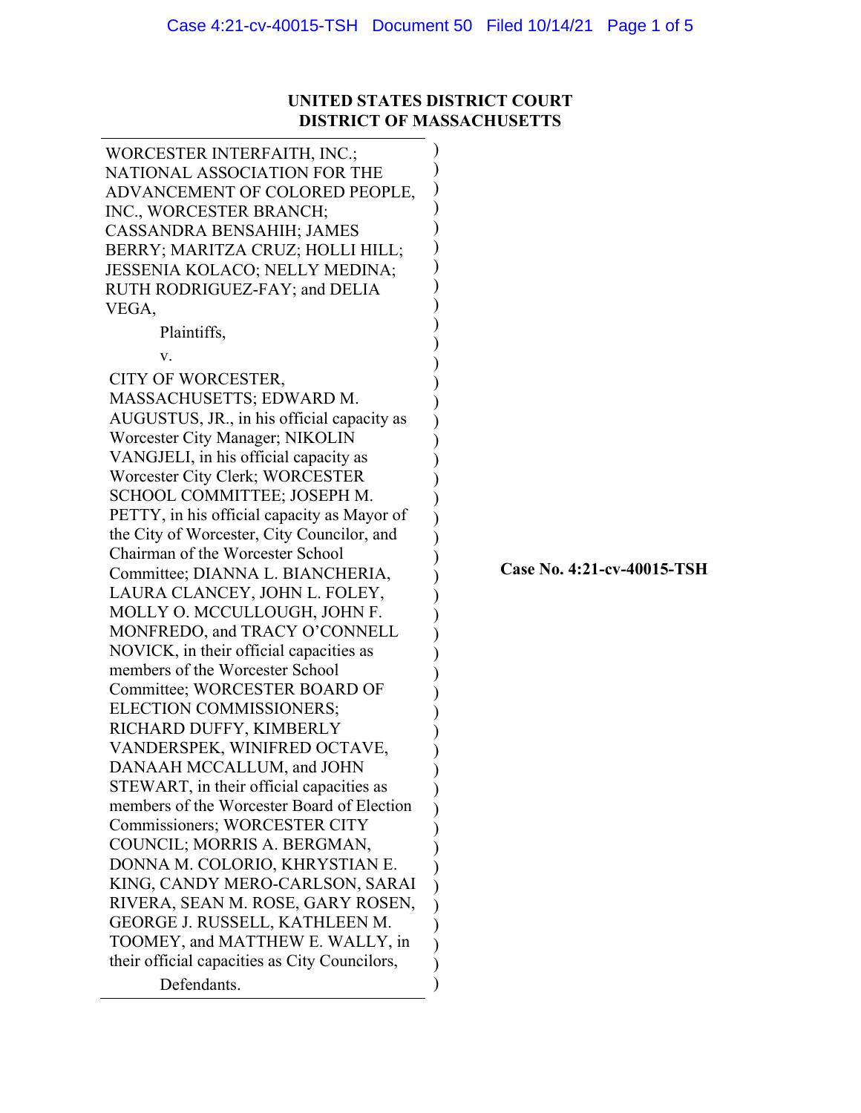## **UNITED STATES DISTRICT COURT DISTRICT OF MASSACHUSETTS**

| WORCESTER INTERFAITH, INC.;                   |  |  |  |
|-----------------------------------------------|--|--|--|
| NATIONAL ASSOCIATION FOR THE                  |  |  |  |
| ADVANCEMENT OF COLORED PEOPLE,                |  |  |  |
| INC., WORCESTER BRANCH;                       |  |  |  |
| CASSANDRA BENSAHIH; JAMES                     |  |  |  |
| BERRY; MARITZA CRUZ; HOLLI HILL;              |  |  |  |
| JESSENIA KOLACO; NELLY MEDINA;                |  |  |  |
| RUTH RODRIGUEZ-FAY; and DELIA                 |  |  |  |
| VEGA,                                         |  |  |  |
| Plaintiffs,                                   |  |  |  |
|                                               |  |  |  |
| V.                                            |  |  |  |
| CITY OF WORCESTER,                            |  |  |  |
| MASSACHUSETTS; EDWARD M.                      |  |  |  |
| AUGUSTUS, JR., in his official capacity as    |  |  |  |
| Worcester City Manager; NIKOLIN               |  |  |  |
| VANGJELI, in his official capacity as         |  |  |  |
| Worcester City Clerk; WORCESTER               |  |  |  |
| SCHOOL COMMITTEE; JOSEPH M.                   |  |  |  |
| PETTY, in his official capacity as Mayor of   |  |  |  |
| the City of Worcester, City Councilor, and    |  |  |  |
| Chairman of the Worcester School              |  |  |  |
| Committee; DIANNA L. BIANCHERIA,              |  |  |  |
| LAURA CLANCEY, JOHN L. FOLEY,                 |  |  |  |
| MOLLY O. MCCULLOUGH, JOHN F.                  |  |  |  |
| MONFREDO, and TRACY O'CONNELL                 |  |  |  |
| NOVICK, in their official capacities as       |  |  |  |
| members of the Worcester School               |  |  |  |
| Committee; WORCESTER BOARD OF                 |  |  |  |
| ELECTION COMMISSIONERS;                       |  |  |  |
| RICHARD DUFFY, KIMBERLY                       |  |  |  |
| VANDERSPEK, WINIFRED OCTAVE,                  |  |  |  |
| DANAAH MCCALLUM, and JOHN                     |  |  |  |
| STEWART, in their official capacities as      |  |  |  |
| members of the Worcester Board of Election    |  |  |  |
| Commissioners; WORCESTER CITY                 |  |  |  |
| COUNCIL; MORRIS A. BERGMAN,                   |  |  |  |
| DONNA M. COLORIO, KHRYSTIAN E.                |  |  |  |
| KING, CANDY MERO-CARLSON, SARAI               |  |  |  |
| RIVERA, SEAN M. ROSE, GARY ROSEN,             |  |  |  |
| GEORGE J. RUSSELL, KATHLEEN M.                |  |  |  |
| TOOMEY, and MATTHEW E. WALLY, in              |  |  |  |
| their official capacities as City Councilors, |  |  |  |
| Defendants.                                   |  |  |  |
|                                               |  |  |  |

**Case No. 4:21-cv-40015-TSH**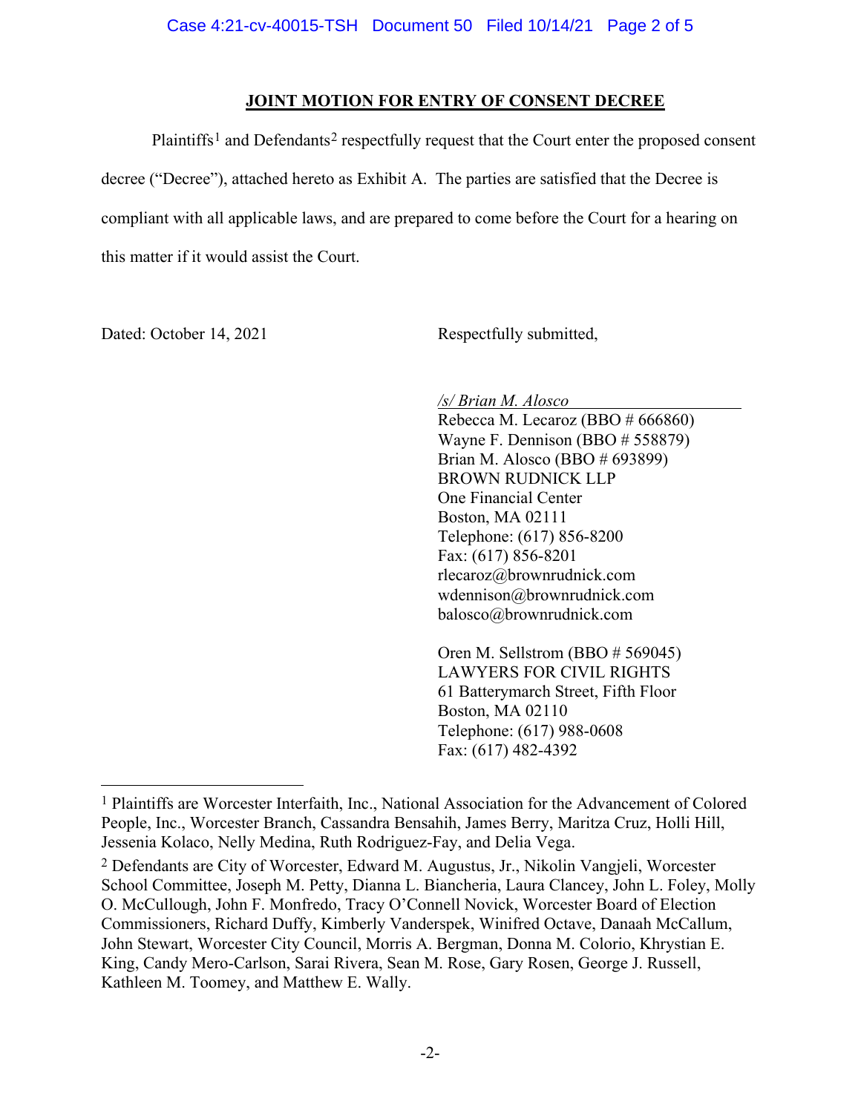### **JOINT MOTION FOR ENTRY OF CONSENT DECREE**

Plaintiffs<sup>[1](#page-9-0)</sup> and Defendants<sup>[2](#page-9-0)</sup> respectfully request that the Court enter the proposed consent decree ("Decree"), attached hereto as Exhibit A. The parties are satisfied that the Decree is compliant with all applicable laws, and are prepared to come before the Court for a hearing on this matter if it would assist the Court.

Dated: October 14, 2021 Respectfully submitted,

*/s/ Brian M. Alosco*

Rebecca M. Lecaroz (BBO # 666860) Wayne F. Dennison (BBO # 558879) Brian M. Alosco (BBO # 693899) BROWN RUDNICK LLP One Financial Center Boston, MA 02111 Telephone: (617) 856-8200 Fax: (617) 856-8201 rlecaroz@brownrudnick.com wdennison@brownrudnick.com balosco@brownrudnick.com

Oren M. Sellstrom (BBO # 569045) LAWYERS FOR CIVIL RIGHTS 61 Batterymarch Street, Fifth Floor Boston, MA 02110 Telephone: (617) 988-0608 Fax: (617) 482-4392

<sup>1</sup> Plaintiffs are Worcester Interfaith, Inc., National Association for the Advancement of Colored People, Inc., Worcester Branch, Cassandra Bensahih, James Berry, Maritza Cruz, Holli Hill, Jessenia Kolaco, Nelly Medina, Ruth Rodriguez-Fay, and Delia Vega.

<sup>2</sup> Defendants are City of Worcester, Edward M. Augustus, Jr., Nikolin Vangjeli, Worcester School Committee, Joseph M. Petty, Dianna L. Biancheria, Laura Clancey, John L. Foley, Molly O. McCullough, John F. Monfredo, Tracy O'Connell Novick, Worcester Board of Election Commissioners, Richard Duffy, Kimberly Vanderspek, Winifred Octave, Danaah McCallum, John Stewart, Worcester City Council, Morris A. Bergman, Donna M. Colorio, Khrystian E. King, Candy Mero-Carlson, Sarai Rivera, Sean M. Rose, Gary Rosen, George J. Russell, Kathleen M. Toomey, and Matthew E. Wally.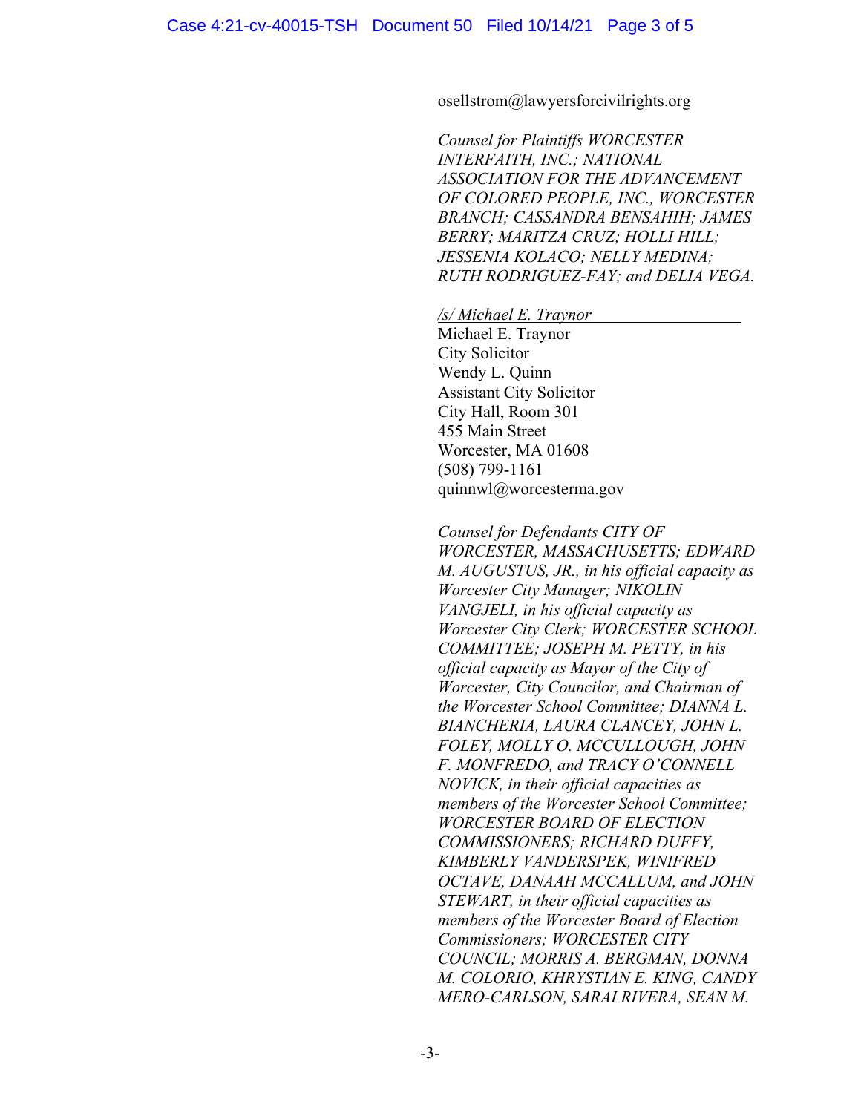#### osellstrom@lawyersforcivilrights.org

*Counsel for Plaintiffs WORCESTER INTERFAITH, INC.; NATIONAL ASSOCIATION FOR THE ADVANCEMENT OF COLORED PEOPLE, INC., WORCESTER BRANCH; CASSANDRA BENSAHIH; JAMES BERRY; MARITZA CRUZ; HOLLI HILL; JESSENIA KOLACO; NELLY MEDINA; RUTH RODRIGUEZ-FAY; and DELIA VEGA.*

*/s/ Michael E. Traynor*

Michael E. Traynor City Solicitor Wendy L. Quinn Assistant City Solicitor City Hall, Room 301 455 Main Street Worcester, MA 01608 (508) 799-1161 quinnwl@worcesterma.gov

*Counsel for Defendants CITY OF WORCESTER, MASSACHUSETTS; EDWARD M. AUGUSTUS, JR., in his official capacity as Worcester City Manager; NIKOLIN VANGJELI, in his official capacity as Worcester City Clerk; WORCESTER SCHOOL COMMITTEE; JOSEPH M. PETTY, in his official capacity as Mayor of the City of Worcester, City Councilor, and Chairman of the Worcester School Committee; DIANNA L. BIANCHERIA, LAURA CLANCEY, JOHN L. FOLEY, MOLLY O. MCCULLOUGH, JOHN F. MONFREDO, and TRACY O'CONNELL NOVICK, in their official capacities as members of the Worcester School Committee; WORCESTER BOARD OF ELECTION COMMISSIONERS; RICHARD DUFFY, KIMBERLY VANDERSPEK, WINIFRED OCTAVE, DANAAH MCCALLUM, and JOHN STEWART, in their official capacities as members of the Worcester Board of Election Commissioners; WORCESTER CITY COUNCIL; MORRIS A. BERGMAN, DONNA M. COLORIO, KHRYSTIAN E. KING, CANDY MERO-CARLSON, SARAI RIVERA, SEAN M.*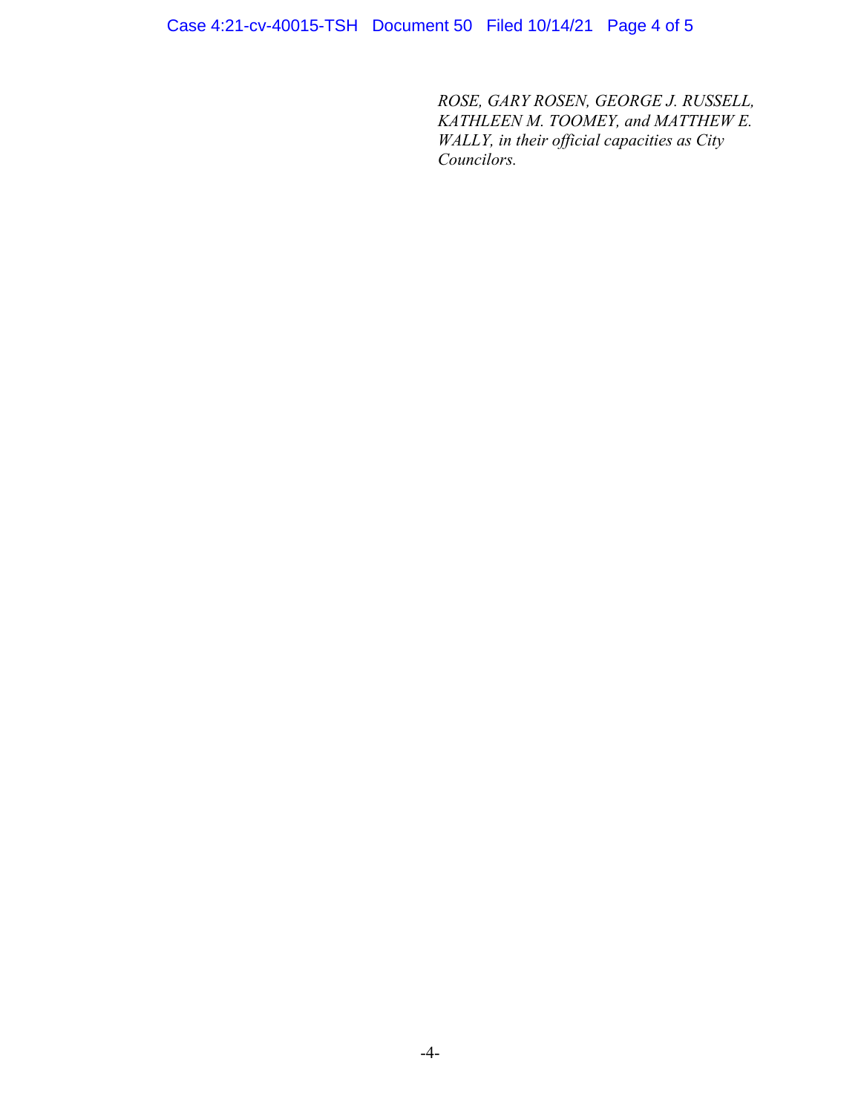Case 4:21-cv-40015-TSH Document 50 Filed 10/14/21 Page 4 of 5

*ROSE, GARY ROSEN, GEORGE J. RUSSELL, KATHLEEN M. TOOMEY, and MATTHEW E. WALLY, in their official capacities as City Councilors.*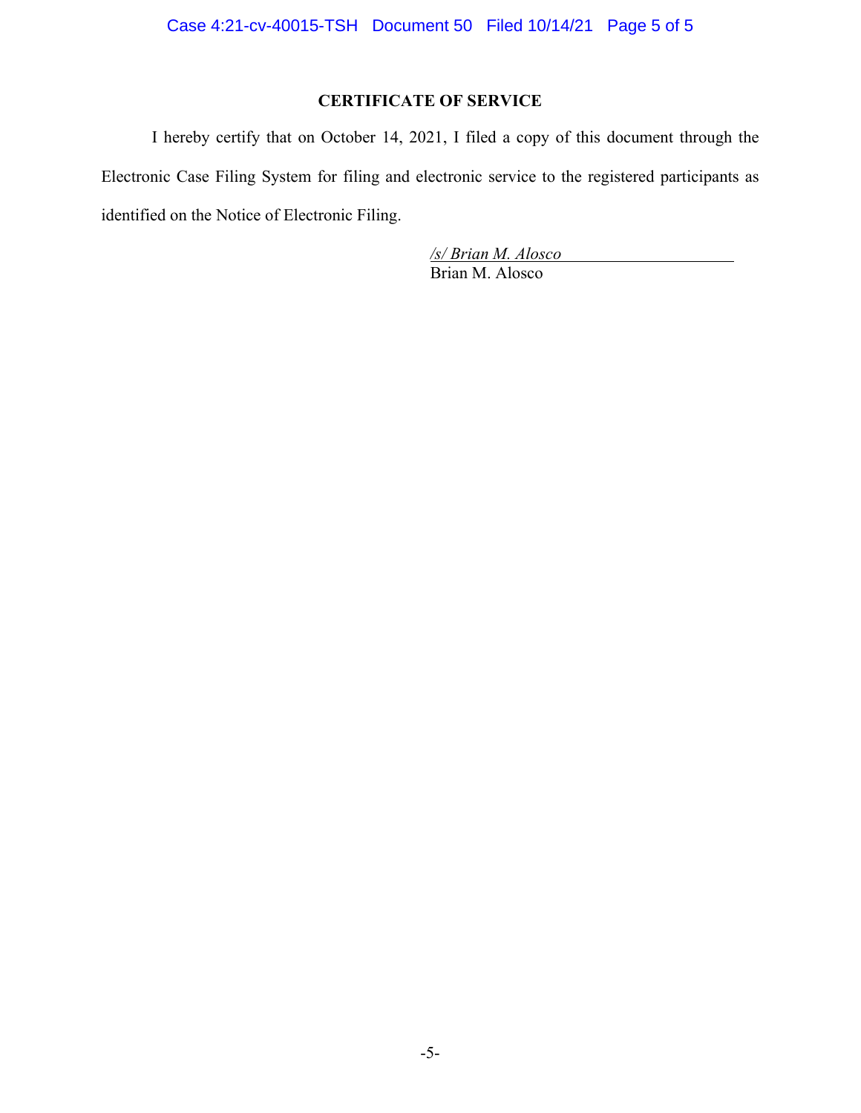# **CERTIFICATE OF SERVICE**

I hereby certify that on October 14, 2021, I filed a copy of this document through the Electronic Case Filing System for filing and electronic service to the registered participants as identified on the Notice of Electronic Filing.

> */s/ Brian M. Alosco* Brian M. Alosco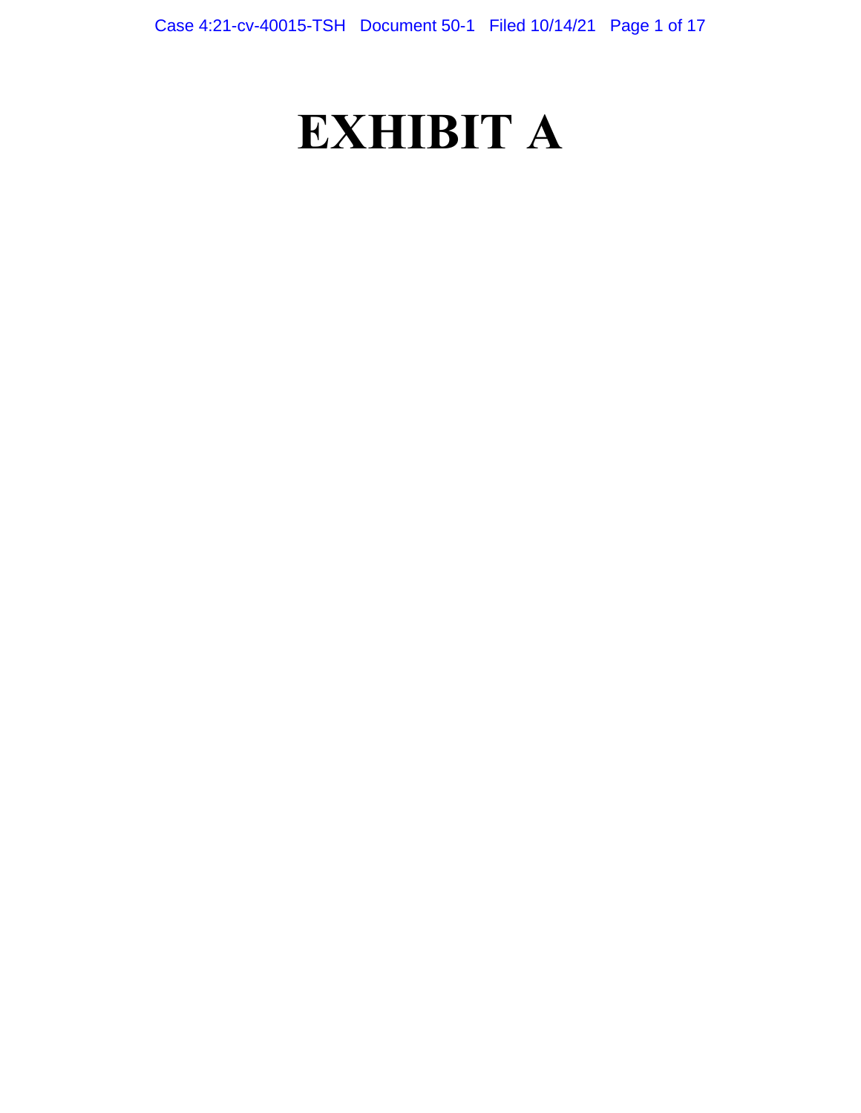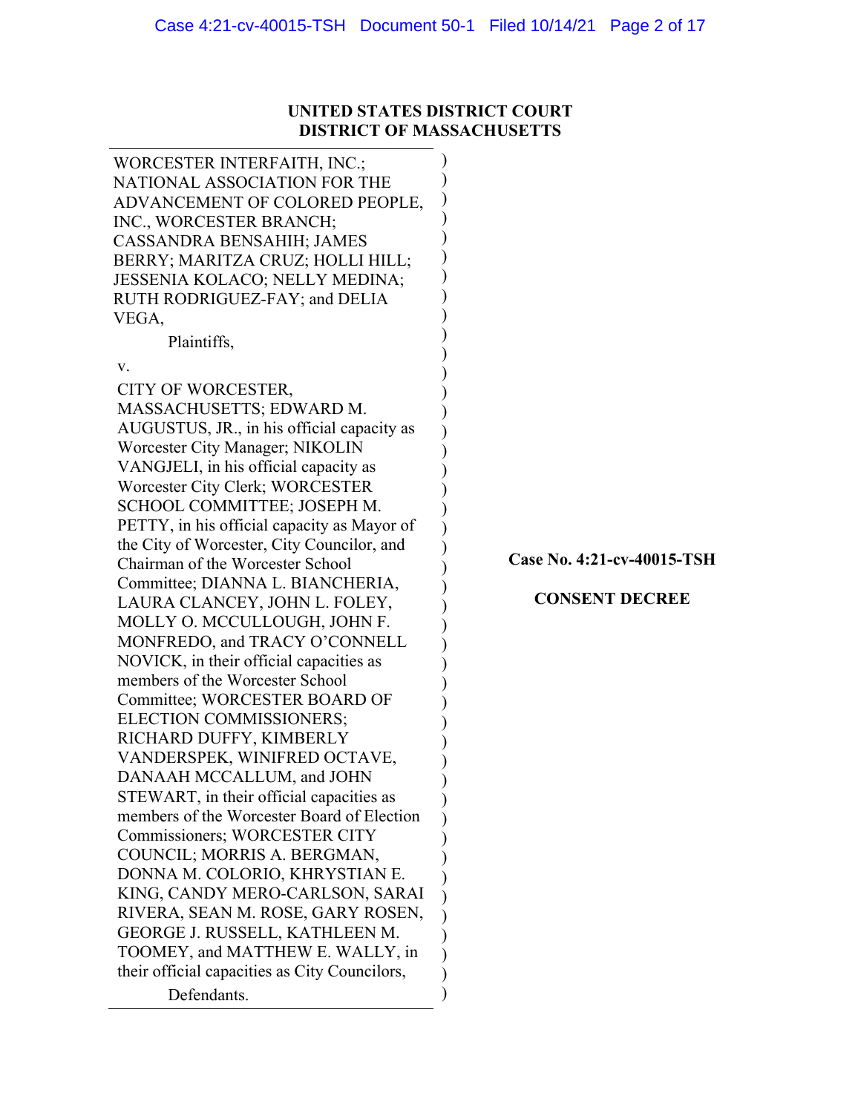## **UNITED STATES DISTRICT COURT DISTRICT OF MASSACHUSETTS**

| WORCESTER INTERFAITH, INC.;<br>NATIONAL ASSOCIATION FOR THE<br>ADVANCEMENT OF COLORED PEOPLE,<br>INC., WORCESTER BRANCH;<br>CASSANDRA BENSAHIH; JAMES<br>BERRY; MARITZA CRUZ; HOLLI HILL;<br>JESSENIA KOLACO; NELLY MEDINA;<br>RUTH RODRIGUEZ-FAY; and DELIA<br>VEGA,<br>Plaintiffs,<br>V.<br>CITY OF WORCESTER,<br>MASSACHUSETTS; EDWARD M.<br>AUGUSTUS, JR., in his official capacity as<br>Worcester City Manager; NIKOLIN<br>VANGJELI, in his official capacity as<br>Worcester City Clerk; WORCESTER<br>SCHOOL COMMITTEE; JOSEPH M.<br>PETTY, in his official capacity as Mayor of<br>the City of Worcester, City Councilor, and<br>Chairman of the Worcester School<br>Committee; DIANNA L. BIANCHERIA,<br>LAURA CLANCEY, JOHN L. FOLEY,<br>MOLLY O. MCCULLOUGH, JOHN F.<br>MONFREDO, and TRACY O'CONNELL<br>NOVICK, in their official capacities as<br>members of the Worcester School<br>Committee; WORCESTER BOARD OF<br>ELECTION COMMISSIONERS;<br>RICHARD DUFFY, KIMBERLY<br>VANDERSPEK, WINIFRED OCTAVE,<br>DANAAH MCCALLUM, and JOHN<br>STEWART, in their official capacities as<br>members of the Worcester Board of Election<br>Commissioners; WORCESTER CITY<br>COUNCIL; MORRIS A. BERGMAN,<br>DONNA M. COLORIO, KHRYSTIAN E.<br>KING, CANDY MERO-CARLSON, SARAI<br>RIVERA, SEAN M. ROSE, GARY ROSEN,<br>GEORGE J. RUSSELL, KATHLEEN M.<br>TOOMEY, and MATTHEW E. WALLY, in<br>their official capacities as City Councilors, |             |                                                     |
|----------------------------------------------------------------------------------------------------------------------------------------------------------------------------------------------------------------------------------------------------------------------------------------------------------------------------------------------------------------------------------------------------------------------------------------------------------------------------------------------------------------------------------------------------------------------------------------------------------------------------------------------------------------------------------------------------------------------------------------------------------------------------------------------------------------------------------------------------------------------------------------------------------------------------------------------------------------------------------------------------------------------------------------------------------------------------------------------------------------------------------------------------------------------------------------------------------------------------------------------------------------------------------------------------------------------------------------------------------------------------------------------------------------------------------------------|-------------|-----------------------------------------------------|
|                                                                                                                                                                                                                                                                                                                                                                                                                                                                                                                                                                                                                                                                                                                                                                                                                                                                                                                                                                                                                                                                                                                                                                                                                                                                                                                                                                                                                                              |             |                                                     |
|                                                                                                                                                                                                                                                                                                                                                                                                                                                                                                                                                                                                                                                                                                                                                                                                                                                                                                                                                                                                                                                                                                                                                                                                                                                                                                                                                                                                                                              |             |                                                     |
|                                                                                                                                                                                                                                                                                                                                                                                                                                                                                                                                                                                                                                                                                                                                                                                                                                                                                                                                                                                                                                                                                                                                                                                                                                                                                                                                                                                                                                              |             |                                                     |
|                                                                                                                                                                                                                                                                                                                                                                                                                                                                                                                                                                                                                                                                                                                                                                                                                                                                                                                                                                                                                                                                                                                                                                                                                                                                                                                                                                                                                                              |             | Case No. 4:21-cv-40015-TSH<br><b>CONSENT DECREE</b> |
|                                                                                                                                                                                                                                                                                                                                                                                                                                                                                                                                                                                                                                                                                                                                                                                                                                                                                                                                                                                                                                                                                                                                                                                                                                                                                                                                                                                                                                              | Defendants. |                                                     |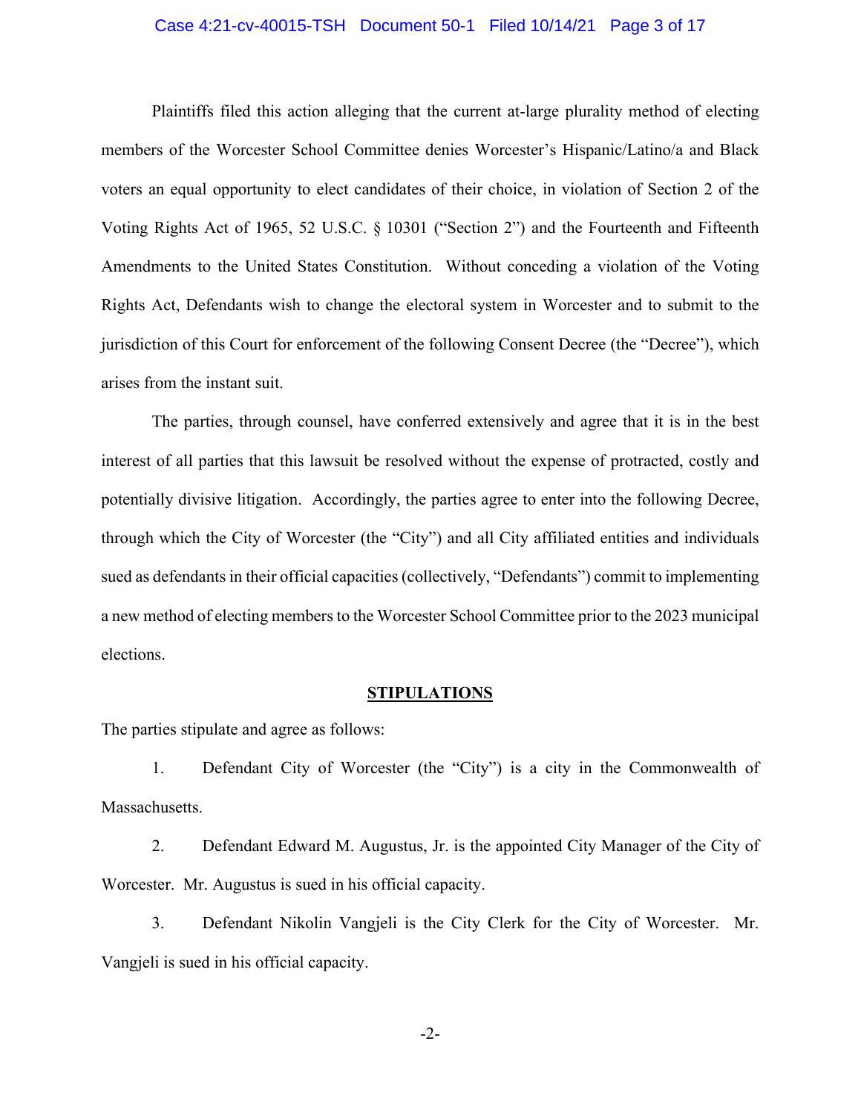#### Case 4:21-cv-40015-TSH Document 50-1 Filed 10/14/21 Page 3 of 17

Plaintiffs filed this action alleging that the current at-large plurality method of electing members of the Worcester School Committee denies Worcester's Hispanic/Latino/a and Black voters an equal opportunity to elect candidates of their choice, in violation of Section 2 of the Voting Rights Act of 1965, 52 U.S.C. § 10301 ("Section 2") and the Fourteenth and Fifteenth Amendments to the United States Constitution. Without conceding a violation of the Voting Rights Act, Defendants wish to change the electoral system in Worcester and to submit to the jurisdiction of this Court for enforcement of the following Consent Decree (the "Decree"), which arises from the instant suit.

The parties, through counsel, have conferred extensively and agree that it is in the best interest of all parties that this lawsuit be resolved without the expense of protracted, costly and potentially divisive litigation. Accordingly, the parties agree to enter into the following Decree, through which the City of Worcester (the "City") and all City affiliated entities and individuals sued as defendants in their official capacities (collectively, "Defendants") commit to implementing a new method of electing members to the Worcester School Committee prior to the 2023 municipal elections.

#### **STIPULATIONS**

The parties stipulate and agree as follows:

1. Defendant City of Worcester (the "City") is a city in the Commonwealth of Massachusetts.

2. Defendant Edward M. Augustus, Jr. is the appointed City Manager of the City of Worcester. Mr. Augustus is sued in his official capacity.

3. Defendant Nikolin Vangjeli is the City Clerk for the City of Worcester. Mr. Vangjeli is sued in his official capacity.

-2-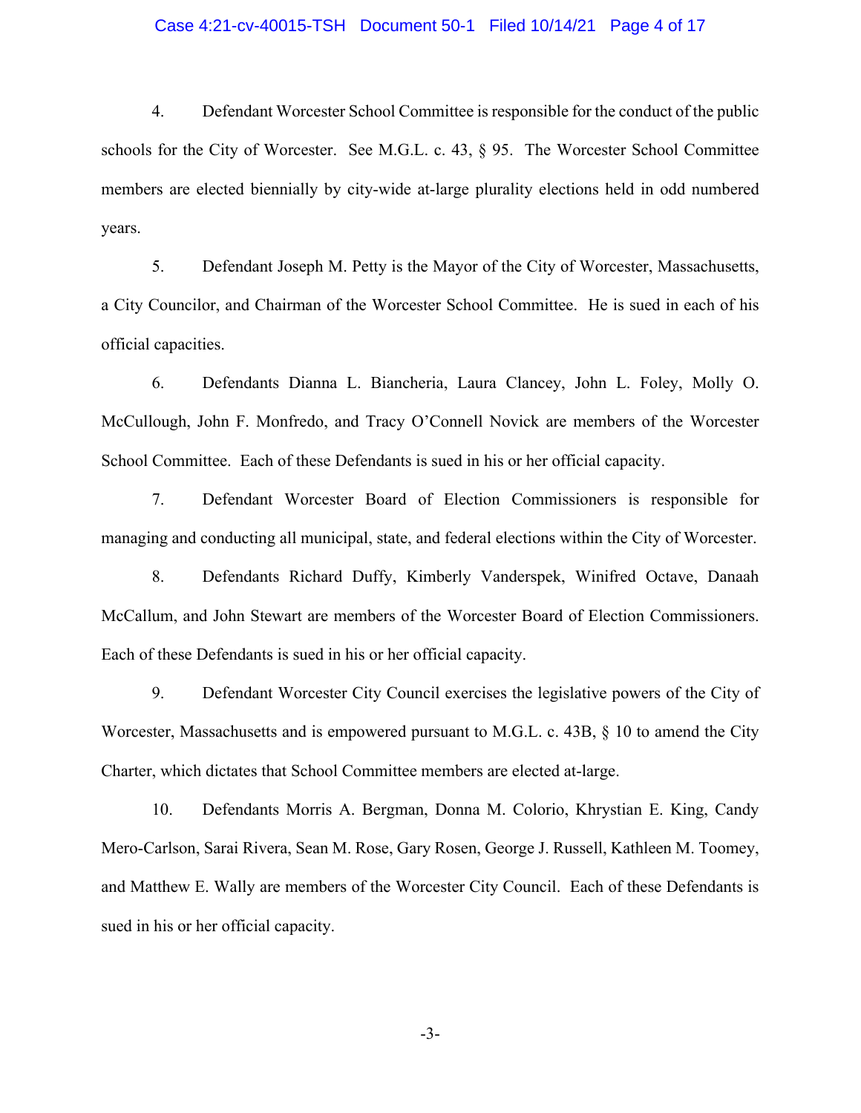#### Case 4:21-cv-40015-TSH Document 50-1 Filed 10/14/21 Page 4 of 17

4. Defendant Worcester School Committee is responsible for the conduct of the public schools for the City of Worcester. See M.G.L. c. 43, § 95. The Worcester School Committee members are elected biennially by city-wide at-large plurality elections held in odd numbered years.

5. Defendant Joseph M. Petty is the Mayor of the City of Worcester, Massachusetts, a City Councilor, and Chairman of the Worcester School Committee. He is sued in each of his official capacities.

6. Defendants Dianna L. Biancheria, Laura Clancey, John L. Foley, Molly O. McCullough, John F. Monfredo, and Tracy O'Connell Novick are members of the Worcester School Committee. Each of these Defendants is sued in his or her official capacity.

7. Defendant Worcester Board of Election Commissioners is responsible for managing and conducting all municipal, state, and federal elections within the City of Worcester.

8. Defendants Richard Duffy, Kimberly Vanderspek, Winifred Octave, Danaah McCallum, and John Stewart are members of the Worcester Board of Election Commissioners. Each of these Defendants is sued in his or her official capacity.

9. Defendant Worcester City Council exercises the legislative powers of the City of Worcester, Massachusetts and is empowered pursuant to M.G.L. c. 43B, § 10 to amend the City Charter, which dictates that School Committee members are elected at-large.

10. Defendants Morris A. Bergman, Donna M. Colorio, Khrystian E. King, Candy Mero-Carlson, Sarai Rivera, Sean M. Rose, Gary Rosen, George J. Russell, Kathleen M. Toomey, and Matthew E. Wally are members of the Worcester City Council. Each of these Defendants is sued in his or her official capacity.

-3-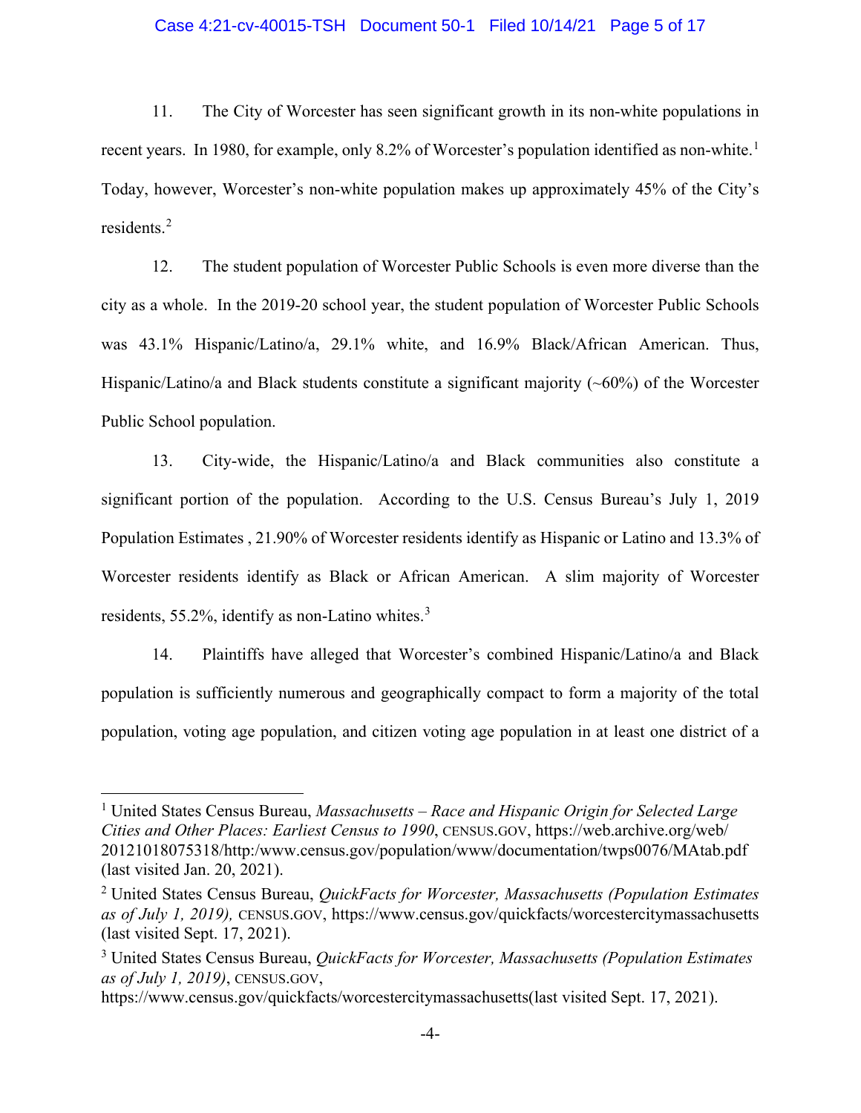#### Case 4:21-cv-40015-TSH Document 50-1 Filed 10/14/21 Page 5 of 17

11. The City of Worcester has seen significant growth in its non-white populations in recent years. In [1](#page-9-0)980, for example, only 8.2% of Worcester's population identified as non-white.<sup>1</sup> Today, however, Worcester's non-white population makes up approximately 45% of the City's residents.[2](#page-9-0)

12. The student population of Worcester Public Schools is even more diverse than the city as a whole. In the 2019-20 school year, the student population of Worcester Public Schools was 43.1% Hispanic/Latino/a, 29.1% white, and 16.9% Black/African American. Thus, Hispanic/Latino/a and Black students constitute a significant majority  $(\sim 60\%)$  of the Worcester Public School population.

13. City-wide, the Hispanic/Latino/a and Black communities also constitute a significant portion of the population. According to the U.S. Census Bureau's July 1, 2019 Population Estimates , 21.90% of Worcester residents identify as Hispanic or Latino and 13.3% of Worcester residents identify as Black or African American. A slim majority of Worcester residents, 55.2%, identify as non-Latino whites. $3$ 

14. Plaintiffs have alleged that Worcester's combined Hispanic/Latino/a and Black population is sufficiently numerous and geographically compact to form a majority of the total population, voting age population, and citizen voting age population in at least one district of a

<sup>1</sup> United States Census Bureau, *Massachusetts – Race and Hispanic Origin for Selected Large Cities and Other Places: Earliest Census to 1990*, CENSUS.GOV, https://web.archive.org/web/ 20121018075318/http:/www.census.gov/population/www/documentation/twps0076/MAtab.pdf (last visited Jan. 20, 2021).

<sup>2</sup> United States Census Bureau, *QuickFacts for Worcester, Massachusetts (Population Estimates as of July 1, 2019),* CENSUS.GOV, https://www.census.gov/quickfacts/worcestercitymassachusetts (last visited Sept. 17, 2021).

<span id="page-9-0"></span><sup>3</sup> United States Census Bureau, *QuickFacts for Worcester, Massachusetts (Population Estimates as of July 1, 2019)*, CENSUS.GOV,

https://www.census.gov/quickfacts/worcestercitymassachusetts(last visited Sept. 17, 2021).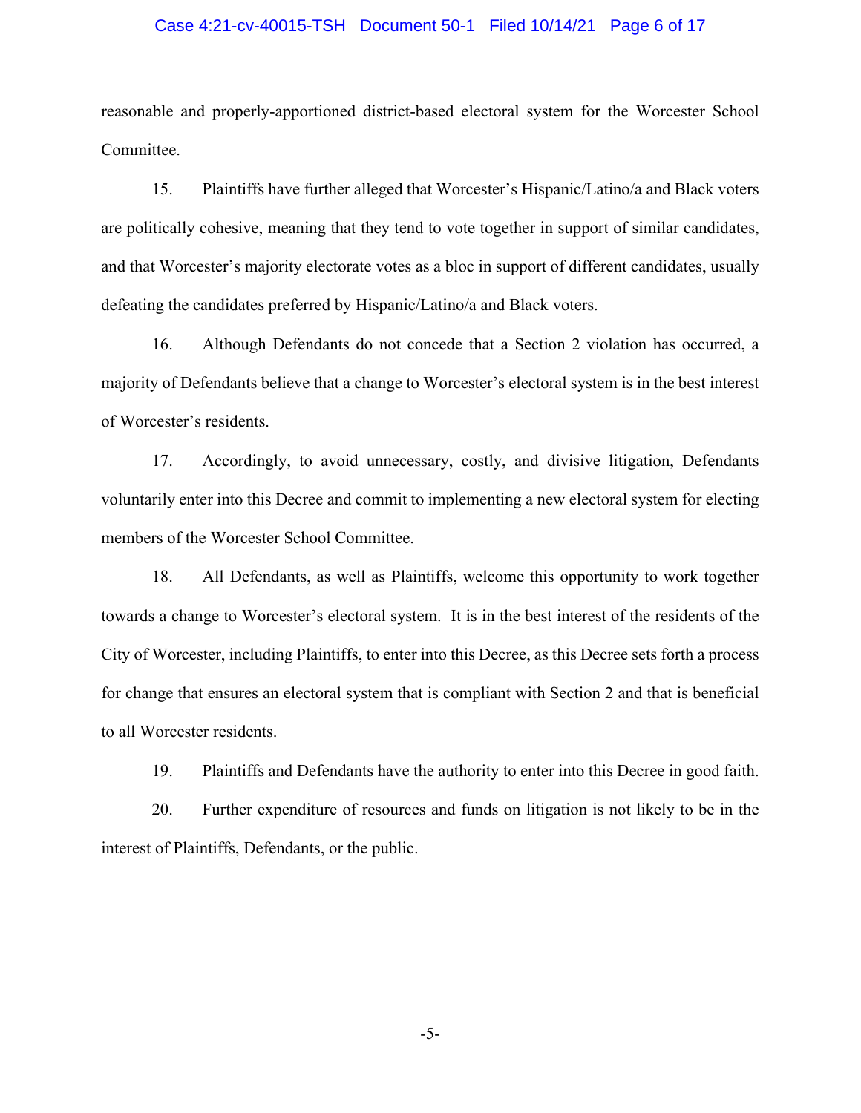#### Case 4:21-cv-40015-TSH Document 50-1 Filed 10/14/21 Page 6 of 17

reasonable and properly-apportioned district-based electoral system for the Worcester School Committee.

15. Plaintiffs have further alleged that Worcester's Hispanic/Latino/a and Black voters are politically cohesive, meaning that they tend to vote together in support of similar candidates, and that Worcester's majority electorate votes as a bloc in support of different candidates, usually defeating the candidates preferred by Hispanic/Latino/a and Black voters.

16. Although Defendants do not concede that a Section 2 violation has occurred, a majority of Defendants believe that a change to Worcester's electoral system is in the best interest of Worcester's residents.

17. Accordingly, to avoid unnecessary, costly, and divisive litigation, Defendants voluntarily enter into this Decree and commit to implementing a new electoral system for electing members of the Worcester School Committee.

18. All Defendants, as well as Plaintiffs, welcome this opportunity to work together towards a change to Worcester's electoral system. It is in the best interest of the residents of the City of Worcester, including Plaintiffs, to enter into this Decree, as this Decree sets forth a process for change that ensures an electoral system that is compliant with Section 2 and that is beneficial to all Worcester residents.

19. Plaintiffs and Defendants have the authority to enter into this Decree in good faith.

20. Further expenditure of resources and funds on litigation is not likely to be in the interest of Plaintiffs, Defendants, or the public.

-5-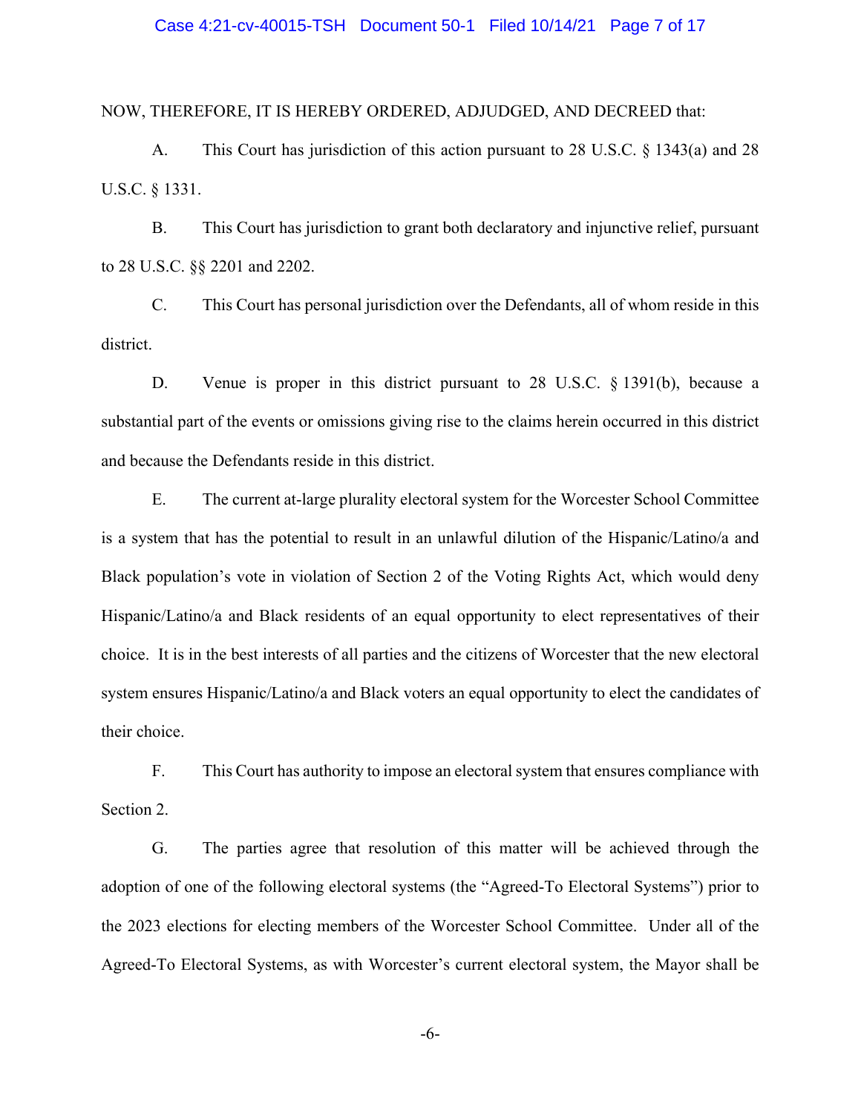#### Case 4:21-cv-40015-TSH Document 50-1 Filed 10/14/21 Page 7 of 17

NOW, THEREFORE, IT IS HEREBY ORDERED, ADJUDGED, AND DECREED that:

A. This Court has jurisdiction of this action pursuant to 28 U.S.C. § 1343(a) and 28 U.S.C. § 1331.

B. This Court has jurisdiction to grant both declaratory and injunctive relief, pursuant to 28 U.S.C. §§ 2201 and 2202.

C. This Court has personal jurisdiction over the Defendants, all of whom reside in this district.

D. Venue is proper in this district pursuant to 28 U.S.C. § 1391(b), because a substantial part of the events or omissions giving rise to the claims herein occurred in this district and because the Defendants reside in this district.

E. The current at-large plurality electoral system for the Worcester School Committee is a system that has the potential to result in an unlawful dilution of the Hispanic/Latino/a and Black population's vote in violation of Section 2 of the Voting Rights Act, which would deny Hispanic/Latino/a and Black residents of an equal opportunity to elect representatives of their choice. It is in the best interests of all parties and the citizens of Worcester that the new electoral system ensures Hispanic/Latino/a and Black voters an equal opportunity to elect the candidates of their choice.

F. This Court has authority to impose an electoral system that ensures compliance with Section 2.

G. The parties agree that resolution of this matter will be achieved through the adoption of one of the following electoral systems (the "Agreed-To Electoral Systems") prior to the 2023 elections for electing members of the Worcester School Committee. Under all of the Agreed-To Electoral Systems, as with Worcester's current electoral system, the Mayor shall be

-6-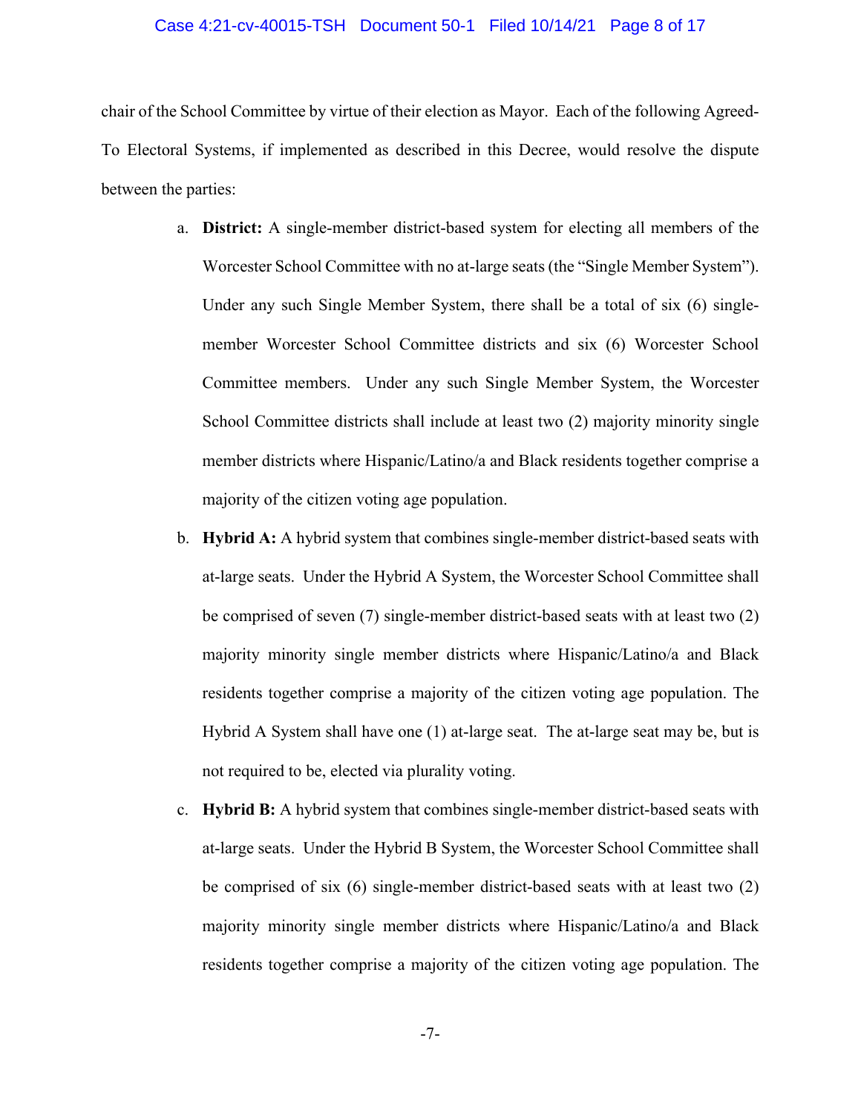#### Case 4:21-cv-40015-TSH Document 50-1 Filed 10/14/21 Page 8 of 17

chair of the School Committee by virtue of their election as Mayor. Each of the following Agreed-To Electoral Systems, if implemented as described in this Decree, would resolve the dispute between the parties:

- a. **District:** A single-member district-based system for electing all members of the Worcester School Committee with no at-large seats (the "Single Member System"). Under any such Single Member System, there shall be a total of six (6) singlemember Worcester School Committee districts and six (6) Worcester School Committee members. Under any such Single Member System, the Worcester School Committee districts shall include at least two (2) majority minority single member districts where Hispanic/Latino/a and Black residents together comprise a majority of the citizen voting age population.
- b. **Hybrid A:** A hybrid system that combines single-member district-based seats with at-large seats. Under the Hybrid A System, the Worcester School Committee shall be comprised of seven (7) single-member district-based seats with at least two (2) majority minority single member districts where Hispanic/Latino/a and Black residents together comprise a majority of the citizen voting age population. The Hybrid A System shall have one (1) at-large seat. The at-large seat may be, but is not required to be, elected via plurality voting.
- c. **Hybrid B:** A hybrid system that combines single-member district-based seats with at-large seats. Under the Hybrid B System, the Worcester School Committee shall be comprised of six (6) single-member district-based seats with at least two (2) majority minority single member districts where Hispanic/Latino/a and Black residents together comprise a majority of the citizen voting age population. The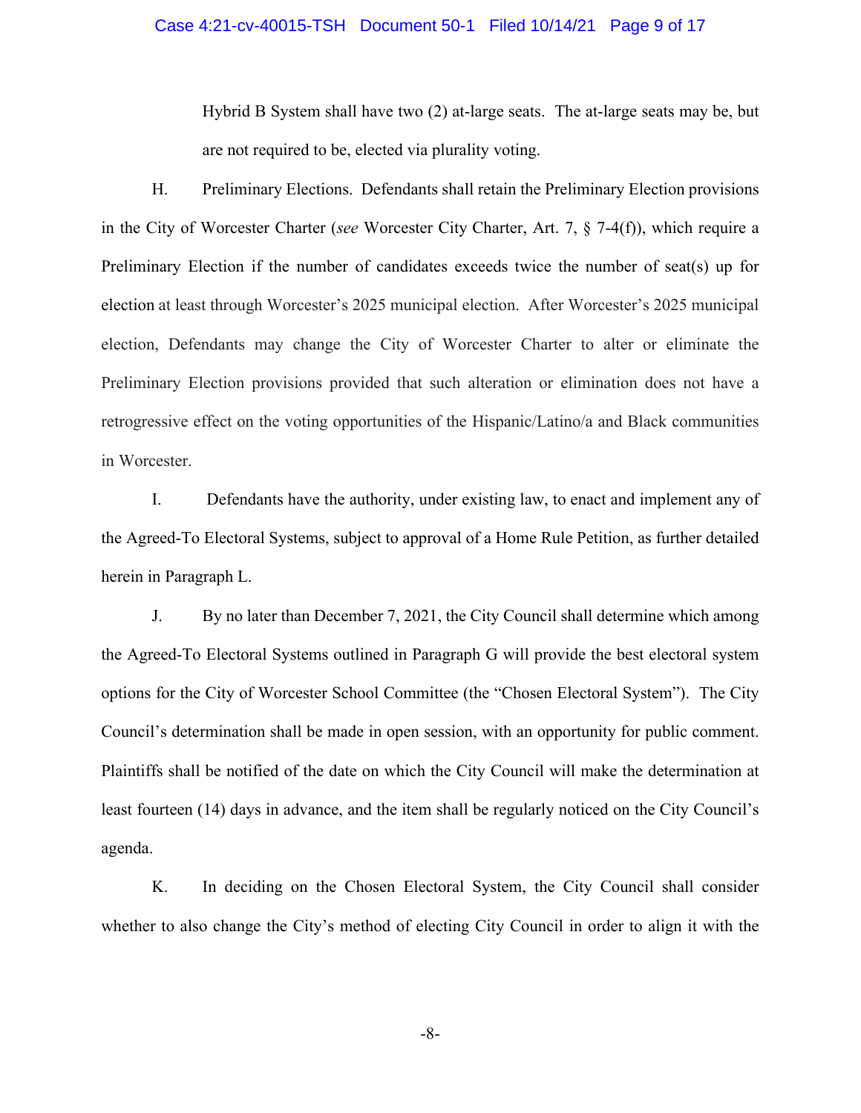#### Case 4:21-cv-40015-TSH Document 50-1 Filed 10/14/21 Page 9 of 17

Hybrid B System shall have two (2) at-large seats. The at-large seats may be, but are not required to be, elected via plurality voting.

H. Preliminary Elections. Defendants shall retain the Preliminary Election provisions in the City of Worcester Charter (*see* Worcester City Charter, Art. 7, § 7-4(f)), which require a Preliminary Election if the number of candidates exceeds twice the number of seat(s) up for election at least through Worcester's 2025 municipal election. After Worcester's 2025 municipal election, Defendants may change the City of Worcester Charter to alter or eliminate the Preliminary Election provisions provided that such alteration or elimination does not have a retrogressive effect on the voting opportunities of the Hispanic/Latino/a and Black communities in Worcester.

I. Defendants have the authority, under existing law, to enact and implement any of the Agreed-To Electoral Systems, subject to approval of a Home Rule Petition, as further detailed herein in Paragraph L.

J. By no later than December 7, 2021, the City Council shall determine which among the Agreed-To Electoral Systems outlined in Paragraph G will provide the best electoral system options for the City of Worcester School Committee (the "Chosen Electoral System"). The City Council's determination shall be made in open session, with an opportunity for public comment. Plaintiffs shall be notified of the date on which the City Council will make the determination at least fourteen (14) days in advance, and the item shall be regularly noticed on the City Council's agenda.

K. In deciding on the Chosen Electoral System, the City Council shall consider whether to also change the City's method of electing City Council in order to align it with the

-8-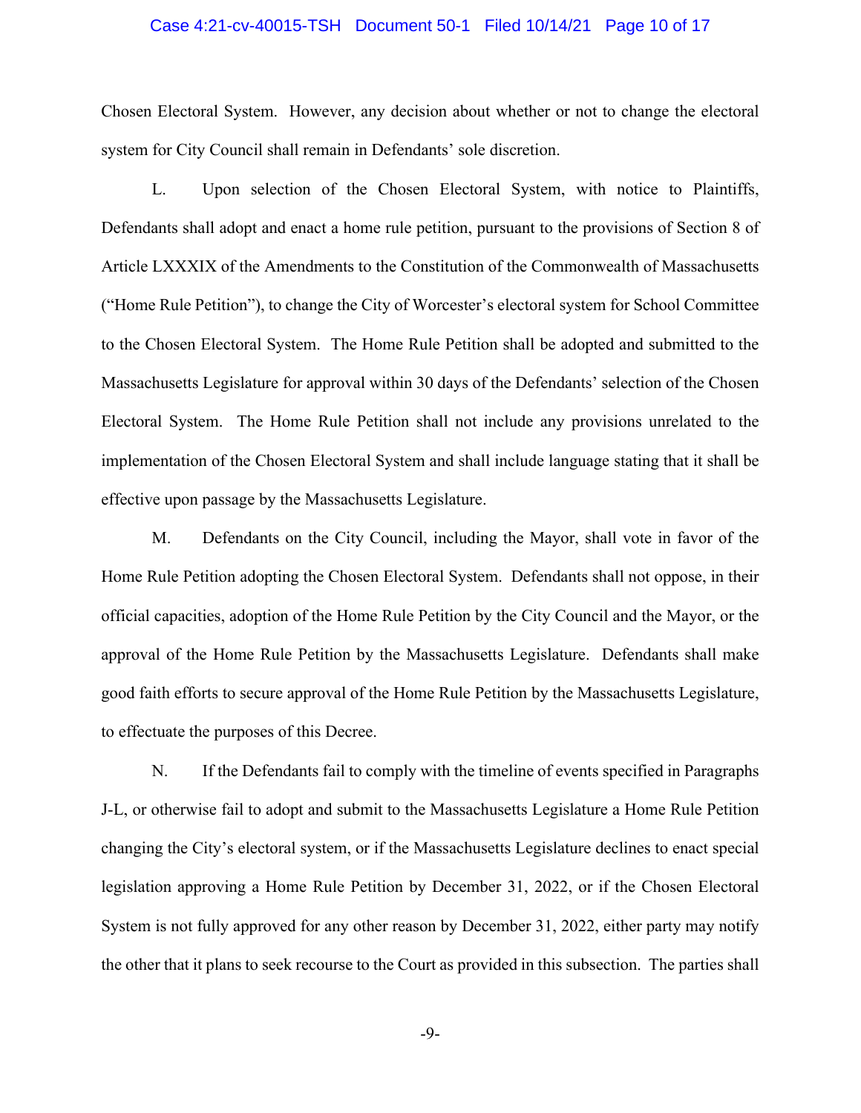#### Case 4:21-cv-40015-TSH Document 50-1 Filed 10/14/21 Page 10 of 17

Chosen Electoral System. However, any decision about whether or not to change the electoral system for City Council shall remain in Defendants' sole discretion.

L. Upon selection of the Chosen Electoral System, with notice to Plaintiffs, Defendants shall adopt and enact a home rule petition, pursuant to the provisions of Section 8 of Article LXXXIX of the Amendments to the Constitution of the Commonwealth of Massachusetts ("Home Rule Petition"), to change the City of Worcester's electoral system for School Committee to the Chosen Electoral System. The Home Rule Petition shall be adopted and submitted to the Massachusetts Legislature for approval within 30 days of the Defendants' selection of the Chosen Electoral System. The Home Rule Petition shall not include any provisions unrelated to the implementation of the Chosen Electoral System and shall include language stating that it shall be effective upon passage by the Massachusetts Legislature.

M. Defendants on the City Council, including the Mayor, shall vote in favor of the Home Rule Petition adopting the Chosen Electoral System. Defendants shall not oppose, in their official capacities, adoption of the Home Rule Petition by the City Council and the Mayor, or the approval of the Home Rule Petition by the Massachusetts Legislature. Defendants shall make good faith efforts to secure approval of the Home Rule Petition by the Massachusetts Legislature, to effectuate the purposes of this Decree.

N. If the Defendants fail to comply with the timeline of events specified in Paragraphs J-L, or otherwise fail to adopt and submit to the Massachusetts Legislature a Home Rule Petition changing the City's electoral system, or if the Massachusetts Legislature declines to enact special legislation approving a Home Rule Petition by December 31, 2022, or if the Chosen Electoral System is not fully approved for any other reason by December 31, 2022, either party may notify the other that it plans to seek recourse to the Court as provided in this subsection. The parties shall

-9-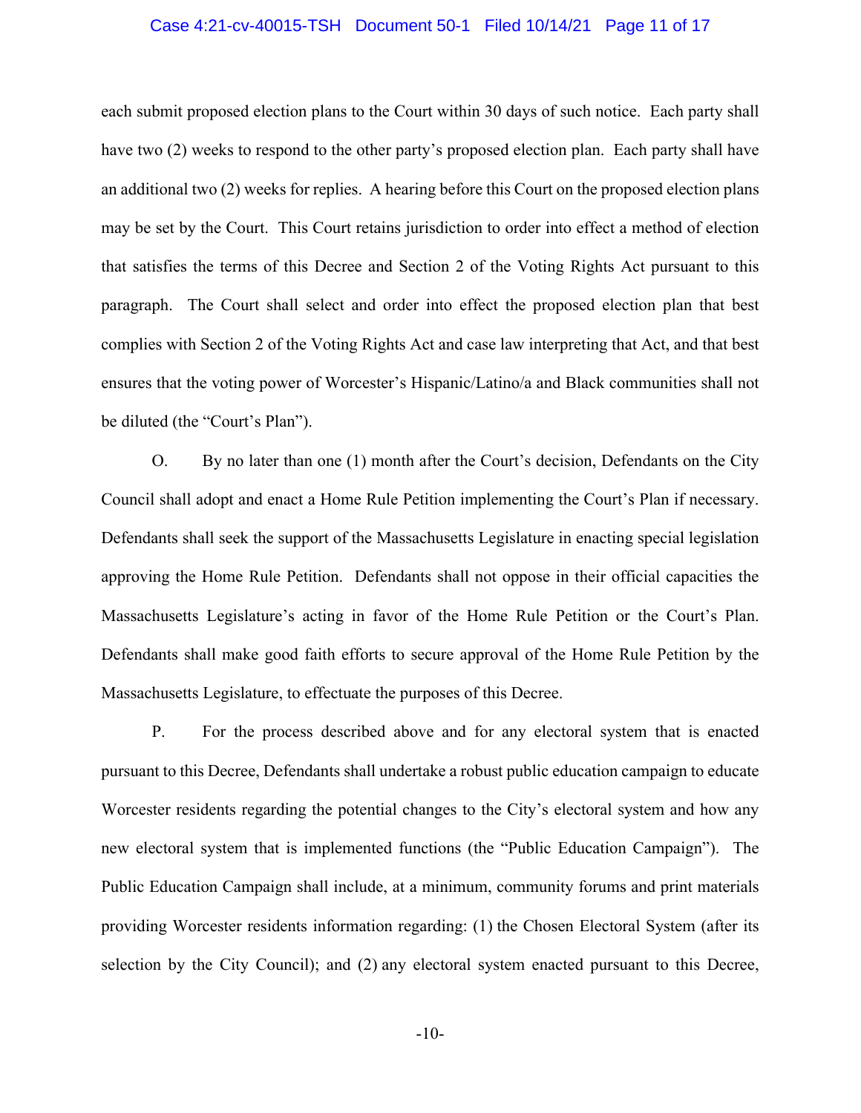#### Case 4:21-cv-40015-TSH Document 50-1 Filed 10/14/21 Page 11 of 17

each submit proposed election plans to the Court within 30 days of such notice. Each party shall have two (2) weeks to respond to the other party's proposed election plan. Each party shall have an additional two (2) weeks for replies. A hearing before this Court on the proposed election plans may be set by the Court. This Court retains jurisdiction to order into effect a method of election that satisfies the terms of this Decree and Section 2 of the Voting Rights Act pursuant to this paragraph. The Court shall select and order into effect the proposed election plan that best complies with Section 2 of the Voting Rights Act and case law interpreting that Act, and that best ensures that the voting power of Worcester's Hispanic/Latino/a and Black communities shall not be diluted (the "Court's Plan").

O. By no later than one (1) month after the Court's decision, Defendants on the City Council shall adopt and enact a Home Rule Petition implementing the Court's Plan if necessary. Defendants shall seek the support of the Massachusetts Legislature in enacting special legislation approving the Home Rule Petition. Defendants shall not oppose in their official capacities the Massachusetts Legislature's acting in favor of the Home Rule Petition or the Court's Plan. Defendants shall make good faith efforts to secure approval of the Home Rule Petition by the Massachusetts Legislature, to effectuate the purposes of this Decree.

P. For the process described above and for any electoral system that is enacted pursuant to this Decree, Defendants shall undertake a robust public education campaign to educate Worcester residents regarding the potential changes to the City's electoral system and how any new electoral system that is implemented functions (the "Public Education Campaign"). The Public Education Campaign shall include, at a minimum, community forums and print materials providing Worcester residents information regarding: (1) the Chosen Electoral System (after its selection by the City Council); and (2) any electoral system enacted pursuant to this Decree,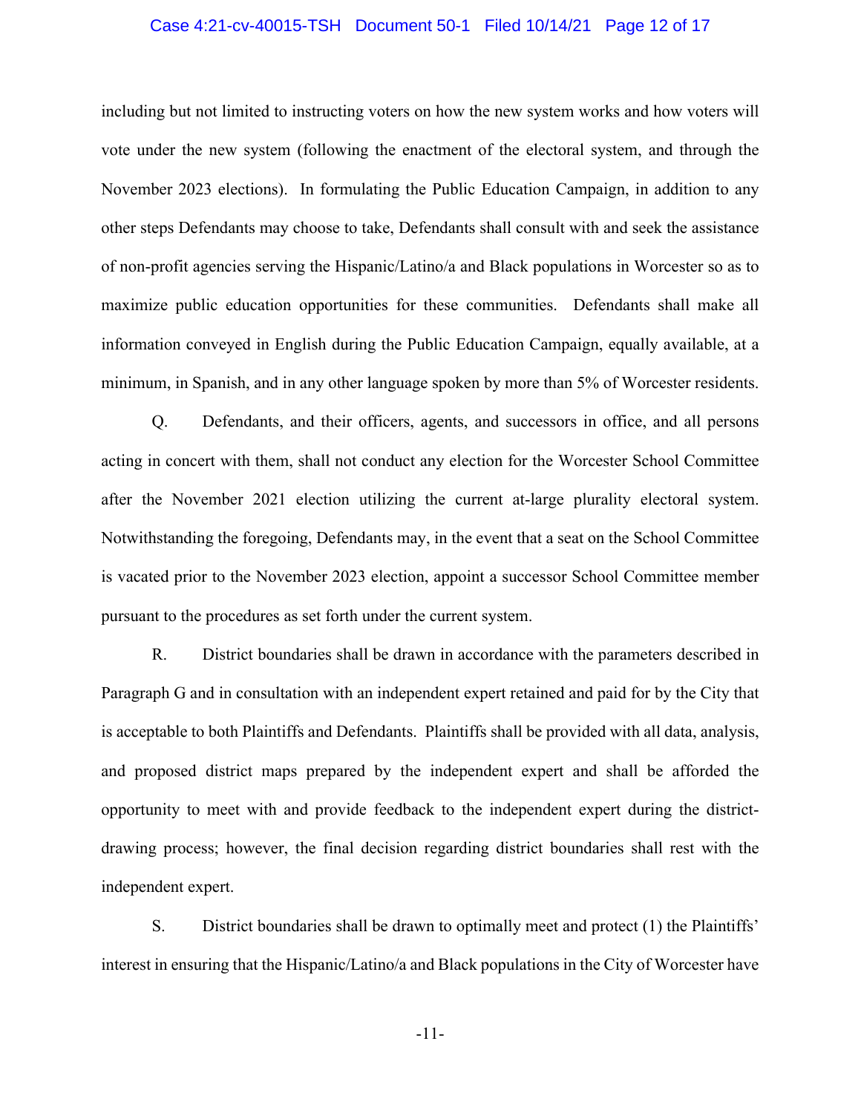#### Case 4:21-cv-40015-TSH Document 50-1 Filed 10/14/21 Page 12 of 17

including but not limited to instructing voters on how the new system works and how voters will vote under the new system (following the enactment of the electoral system, and through the November 2023 elections). In formulating the Public Education Campaign, in addition to any other steps Defendants may choose to take, Defendants shall consult with and seek the assistance of non-profit agencies serving the Hispanic/Latino/a and Black populations in Worcester so as to maximize public education opportunities for these communities. Defendants shall make all information conveyed in English during the Public Education Campaign, equally available, at a minimum, in Spanish, and in any other language spoken by more than 5% of Worcester residents.

Q. Defendants, and their officers, agents, and successors in office, and all persons acting in concert with them, shall not conduct any election for the Worcester School Committee after the November 2021 election utilizing the current at-large plurality electoral system. Notwithstanding the foregoing, Defendants may, in the event that a seat on the School Committee is vacated prior to the November 2023 election, appoint a successor School Committee member pursuant to the procedures as set forth under the current system.

R. District boundaries shall be drawn in accordance with the parameters described in Paragraph G and in consultation with an independent expert retained and paid for by the City that is acceptable to both Plaintiffs and Defendants. Plaintiffs shall be provided with all data, analysis, and proposed district maps prepared by the independent expert and shall be afforded the opportunity to meet with and provide feedback to the independent expert during the districtdrawing process; however, the final decision regarding district boundaries shall rest with the independent expert.

S. District boundaries shall be drawn to optimally meet and protect (1) the Plaintiffs' interest in ensuring that the Hispanic/Latino/a and Black populations in the City of Worcester have

-11-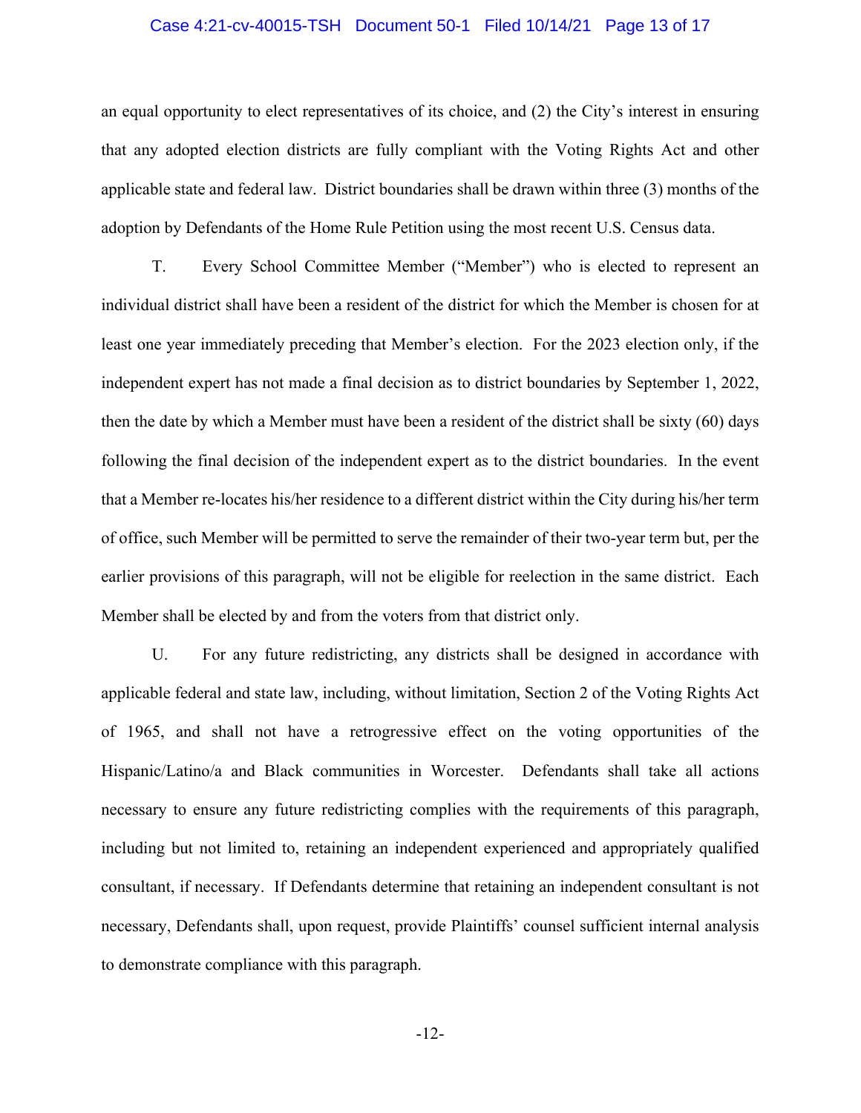#### Case 4:21-cv-40015-TSH Document 50-1 Filed 10/14/21 Page 13 of 17

an equal opportunity to elect representatives of its choice, and (2) the City's interest in ensuring that any adopted election districts are fully compliant with the Voting Rights Act and other applicable state and federal law. District boundaries shall be drawn within three (3) months of the adoption by Defendants of the Home Rule Petition using the most recent U.S. Census data.

T. Every School Committee Member ("Member") who is elected to represent an individual district shall have been a resident of the district for which the Member is chosen for at least one year immediately preceding that Member's election. For the 2023 election only, if the independent expert has not made a final decision as to district boundaries by September 1, 2022, then the date by which a Member must have been a resident of the district shall be sixty (60) days following the final decision of the independent expert as to the district boundaries. In the event that a Member re-locates his/her residence to a different district within the City during his/her term of office, such Member will be permitted to serve the remainder of their two-year term but, per the earlier provisions of this paragraph, will not be eligible for reelection in the same district. Each Member shall be elected by and from the voters from that district only.

U. For any future redistricting, any districts shall be designed in accordance with applicable federal and state law, including, without limitation, Section 2 of the Voting Rights Act of 1965, and shall not have a retrogressive effect on the voting opportunities of the Hispanic/Latino/a and Black communities in Worcester. Defendants shall take all actions necessary to ensure any future redistricting complies with the requirements of this paragraph, including but not limited to, retaining an independent experienced and appropriately qualified consultant, if necessary. If Defendants determine that retaining an independent consultant is not necessary, Defendants shall, upon request, provide Plaintiffs' counsel sufficient internal analysis to demonstrate compliance with this paragraph.

-12-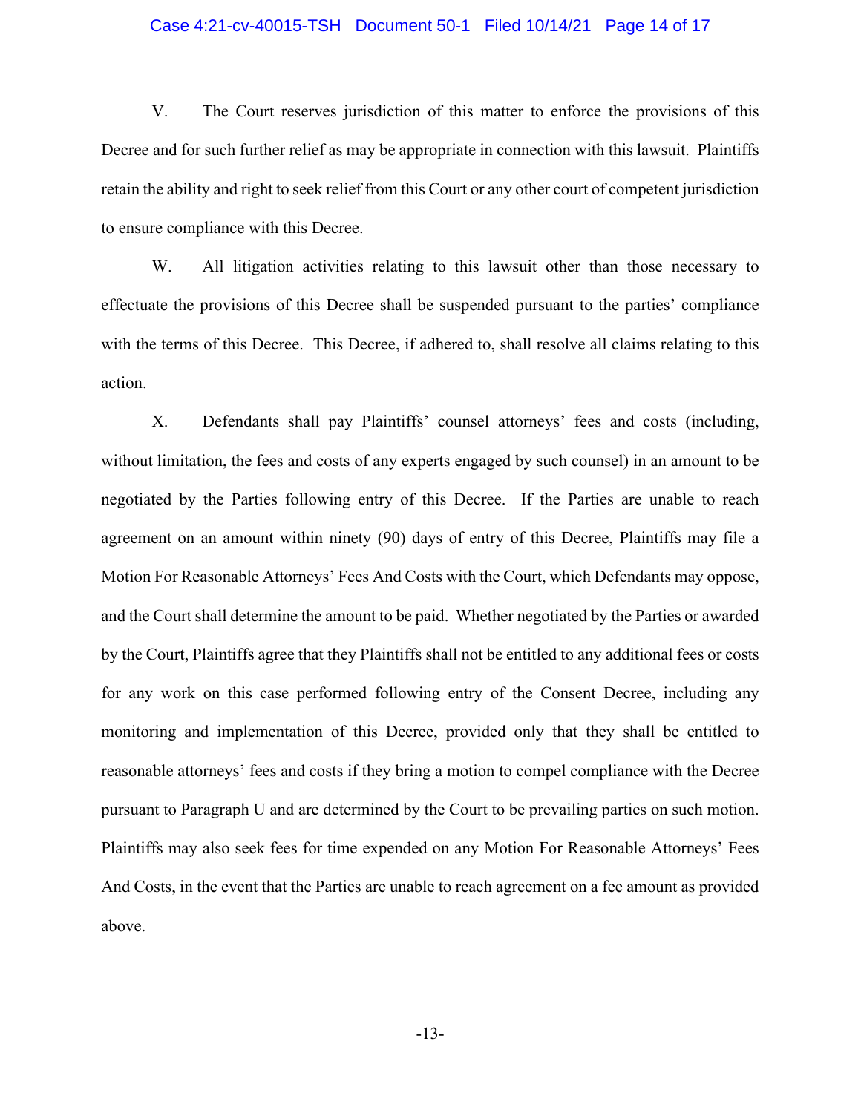#### Case 4:21-cv-40015-TSH Document 50-1 Filed 10/14/21 Page 14 of 17

V. The Court reserves jurisdiction of this matter to enforce the provisions of this Decree and for such further relief as may be appropriate in connection with this lawsuit. Plaintiffs retain the ability and right to seek relief from this Court or any other court of competent jurisdiction to ensure compliance with this Decree.

W. All litigation activities relating to this lawsuit other than those necessary to effectuate the provisions of this Decree shall be suspended pursuant to the parties' compliance with the terms of this Decree. This Decree, if adhered to, shall resolve all claims relating to this action.

X. Defendants shall pay Plaintiffs' counsel attorneys' fees and costs (including, without limitation, the fees and costs of any experts engaged by such counsel) in an amount to be negotiated by the Parties following entry of this Decree. If the Parties are unable to reach agreement on an amount within ninety (90) days of entry of this Decree, Plaintiffs may file a Motion For Reasonable Attorneys' Fees And Costs with the Court, which Defendants may oppose, and the Court shall determine the amount to be paid. Whether negotiated by the Parties or awarded by the Court, Plaintiffs agree that they Plaintiffs shall not be entitled to any additional fees or costs for any work on this case performed following entry of the Consent Decree, including any monitoring and implementation of this Decree, provided only that they shall be entitled to reasonable attorneys' fees and costs if they bring a motion to compel compliance with the Decree pursuant to Paragraph U and are determined by the Court to be prevailing parties on such motion. Plaintiffs may also seek fees for time expended on any Motion For Reasonable Attorneys' Fees And Costs, in the event that the Parties are unable to reach agreement on a fee amount as provided above.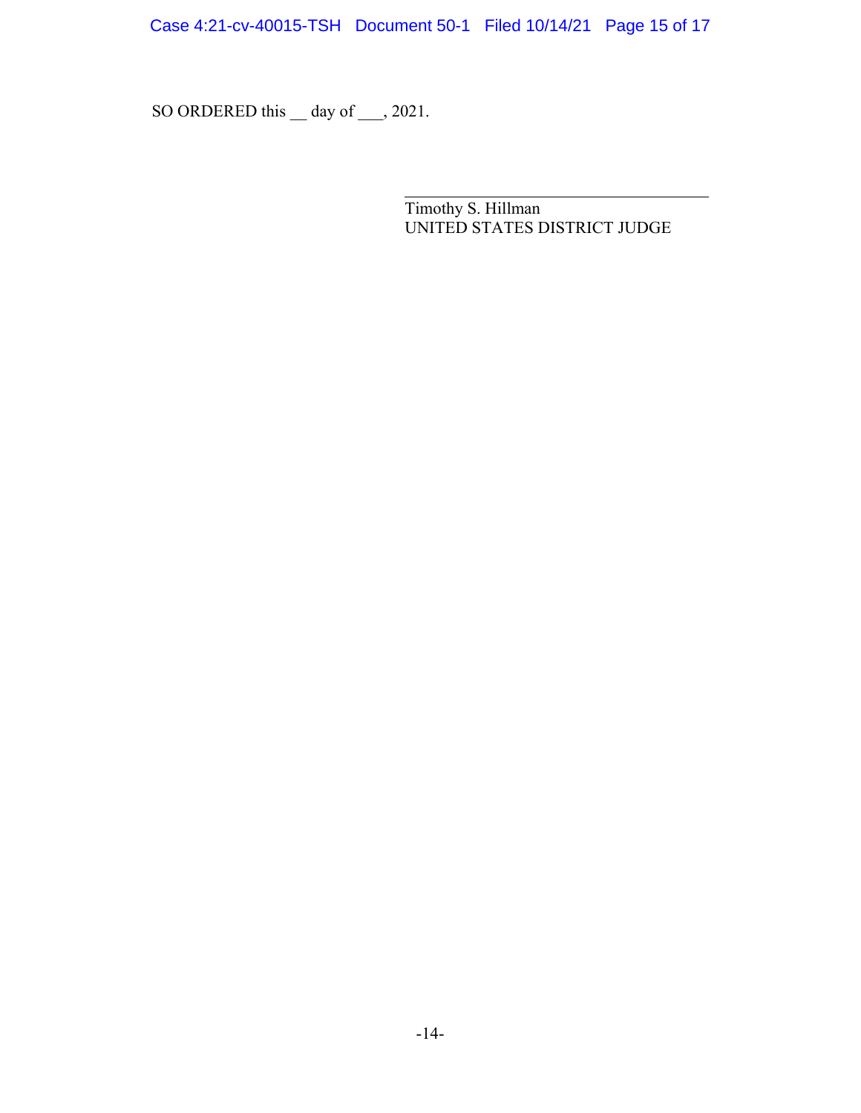Case 4:21-cv-40015-TSH Document 50-1 Filed 10/14/21 Page 15 of 17

SO ORDERED this \_ day of \_\_\_, 2021.

Timothy S. Hillman UNITED STATES DISTRICT JUDGE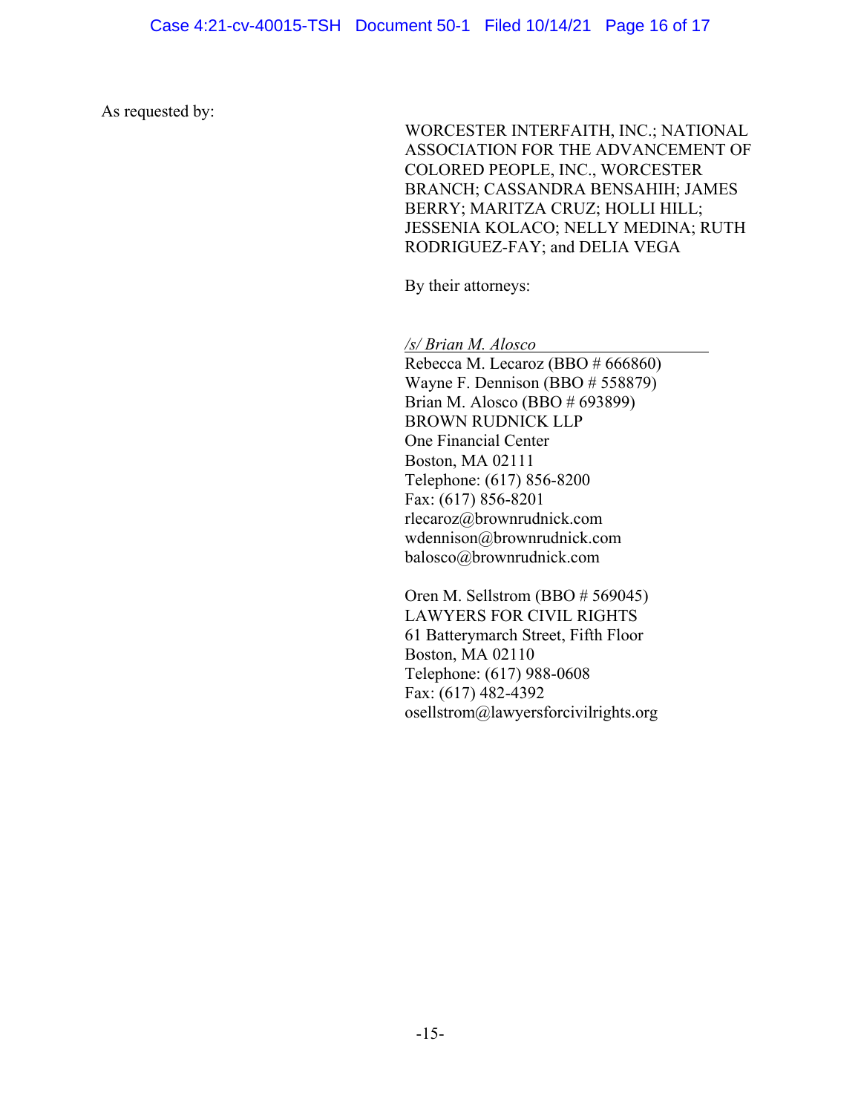As requested by:

WORCESTER INTERFAITH, INC.; NATIONAL ASSOCIATION FOR THE ADVANCEMENT OF COLORED PEOPLE, INC., WORCESTER BRANCH; CASSANDRA BENSAHIH; JAMES BERRY; MARITZA CRUZ; HOLLI HILL; JESSENIA KOLACO; NELLY MEDINA; RUTH RODRIGUEZ-FAY; and DELIA VEGA

By their attorneys:

*/s/ Brian M. Alosco*

Rebecca M. Lecaroz (BBO # 666860) Wayne F. Dennison (BBO # 558879) Brian M. Alosco (BBO # 693899) BROWN RUDNICK LLP One Financial Center Boston, MA 02111 Telephone: (617) 856-8200 Fax: (617) 856-8201 rlecaroz@brownrudnick.com wdennison@brownrudnick.com balosco@brownrudnick.com

Oren M. Sellstrom (BBO # 569045) LAWYERS FOR CIVIL RIGHTS 61 Batterymarch Street, Fifth Floor Boston, MA 02110 Telephone: (617) 988-0608 Fax: (617) 482-4392 osellstrom@lawyersforcivilrights.org